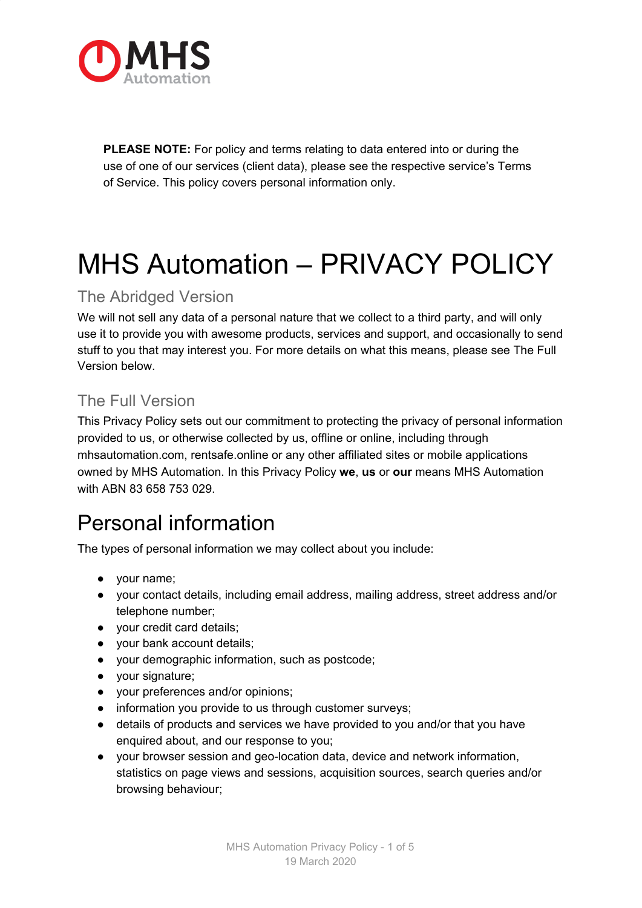

**PLEASE NOTE:** For policy and terms relating to data entered into or during the use of one of our services (client data), please see the respective service's Terms of Service. This policy covers personal information only.

# MHS Automation – PRIVACY POLICY

#### The Abridged Version

We will not sell any data of a personal nature that we collect to a third party, and will only use it to provide you with awesome products, services and support, and occasionally to send stuff to you that may interest you. For more details on what this means, please see The Full Version below.

#### The Full Version

This Privacy Policy sets out our commitment to protecting the privacy of personal information provided to us, or otherwise collected by us, offline or online, including through mhsautomation.com, rentsafe.online or any other affiliated sites or mobile applications owned by MHS Automation. In this Privacy Policy **we**, **us** or **our** means MHS Automation with ABN 83 658 753 029.

## Personal information

The types of personal information we may collect about you include:

- your name;
- your contact details, including email address, mailing address, street address and/or telephone number;
- your credit card details;
- your bank account details;
- your demographic information, such as postcode;
- your signature;
- your preferences and/or opinions;
- information you provide to us through customer surveys;
- details of products and services we have provided to you and/or that you have enquired about, and our response to you;
- your browser session and geo-location data, device and network information, statistics on page views and sessions, acquisition sources, search queries and/or browsing behaviour;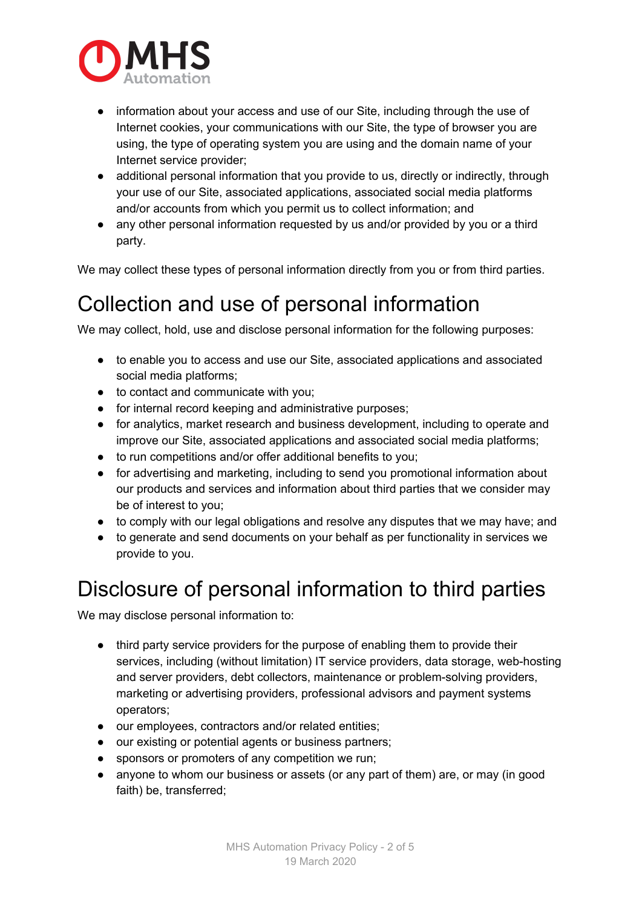

- information about your access and use of our Site, including through the use of Internet cookies, your communications with our Site, the type of browser you are using, the type of operating system you are using and the domain name of your Internet service provider;
- additional personal information that you provide to us, directly or indirectly, through your use of our Site, associated applications, associated social media platforms and/or accounts from which you permit us to collect information; and
- any other personal information requested by us and/or provided by you or a third party.

We may collect these types of personal information directly from you or from third parties.

#### Collection and use of personal information

We may collect, hold, use and disclose personal information for the following purposes:

- to enable you to access and use our Site, associated applications and associated social media platforms;
- to contact and communicate with you;
- for internal record keeping and administrative purposes;
- for analytics, market research and business development, including to operate and improve our Site, associated applications and associated social media platforms;
- to run competitions and/or offer additional benefits to you;
- for advertising and marketing, including to send you promotional information about our products and services and information about third parties that we consider may be of interest to you;
- to comply with our legal obligations and resolve any disputes that we may have; and
- to generate and send documents on your behalf as per functionality in services we provide to you.

#### Disclosure of personal information to third parties

We may disclose personal information to:

- third party service providers for the purpose of enabling them to provide their services, including (without limitation) IT service providers, data storage, web-hosting and server providers, debt collectors, maintenance or problem-solving providers, marketing or advertising providers, professional advisors and payment systems operators;
- our employees, contractors and/or related entities;
- our existing or potential agents or business partners;
- sponsors or promoters of any competition we run;
- anyone to whom our business or assets (or any part of them) are, or may (in good faith) be, transferred;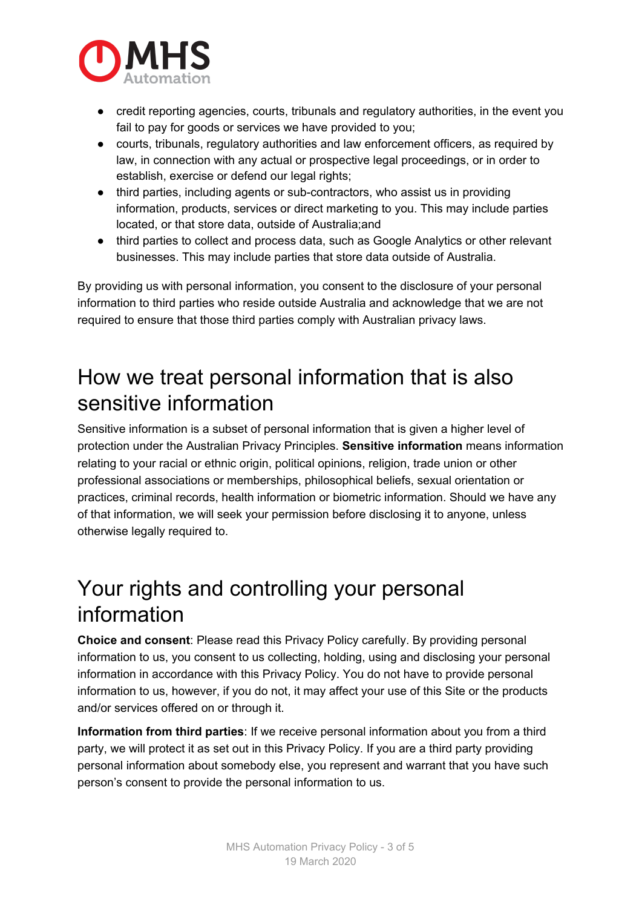

- credit reporting agencies, courts, tribunals and regulatory authorities, in the event you fail to pay for goods or services we have provided to you;
- courts, tribunals, regulatory authorities and law enforcement officers, as required by law, in connection with any actual or prospective legal proceedings, or in order to establish, exercise or defend our legal rights;
- third parties, including agents or sub-contractors, who assist us in providing information, products, services or direct marketing to you. This may include parties located, or that store data, outside of Australia;and
- third parties to collect and process data, such as Google Analytics or other relevant businesses. This may include parties that store data outside of Australia.

By providing us with personal information, you consent to the disclosure of your personal information to third parties who reside outside Australia and acknowledge that we are not required to ensure that those third parties comply with Australian privacy laws.

#### How we treat personal information that is also sensitive information

Sensitive information is a subset of personal information that is given a higher level of protection under the Australian Privacy Principles. **Sensitive information** means information relating to your racial or ethnic origin, political opinions, religion, trade union or other professional associations or memberships, philosophical beliefs, sexual orientation or practices, criminal records, health information or biometric information. Should we have any of that information, we will seek your permission before disclosing it to anyone, unless otherwise legally required to.

#### Your rights and controlling your personal information

**Choice and consent**: Please read this Privacy Policy carefully. By providing personal information to us, you consent to us collecting, holding, using and disclosing your personal information in accordance with this Privacy Policy. You do not have to provide personal information to us, however, if you do not, it may affect your use of this Site or the products and/or services offered on or through it.

**Information from third parties**: If we receive personal information about you from a third party, we will protect it as set out in this Privacy Policy. If you are a third party providing personal information about somebody else, you represent and warrant that you have such person's consent to provide the personal information to us.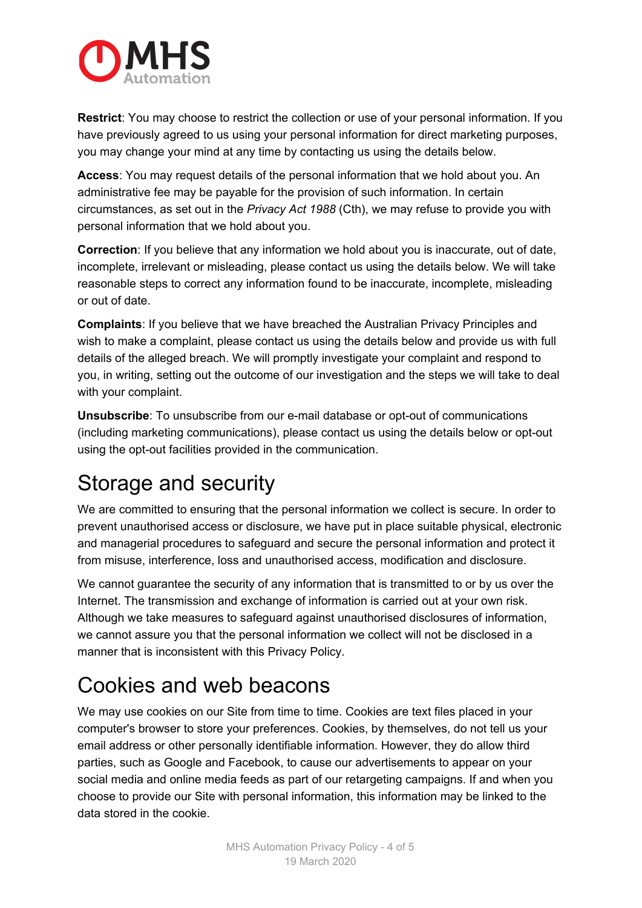

**Restrict**: You may choose to restrict the collection or use of your personal information. If you have previously agreed to us using your personal information for direct marketing purposes, you may change your mind at any time by contacting us using the details below.

**Access**: You may request details of the personal information that we hold about you. An administrative fee may be payable for the provision of such information. In certain circumstances, as set out in the *Privacy Act 1988* (Cth), we may refuse to provide you with personal information that we hold about you.

**Correction**: If you believe that any information we hold about you is inaccurate, out of date, incomplete, irrelevant or misleading, please contact us using the details below. We will take reasonable steps to correct any information found to be inaccurate, incomplete, misleading or out of date.

**Complaints**: If you believe that we have breached the Australian Privacy Principles and wish to make a complaint, please contact us using the details below and provide us with full details of the alleged breach. We will promptly investigate your complaint and respond to you, in writing, setting out the outcome of our investigation and the steps we will take to deal with your complaint.

**Unsubscribe**: To unsubscribe from our e-mail database or opt-out of communications (including marketing communications), please contact us using the details below or opt-out using the opt-out facilities provided in the communication.

## Storage and security

We are committed to ensuring that the personal information we collect is secure. In order to prevent unauthorised access or disclosure, we have put in place suitable physical, electronic and managerial procedures to safeguard and secure the personal information and protect it from misuse, interference, loss and unauthorised access, modification and disclosure.

We cannot guarantee the security of any information that is transmitted to or by us over the Internet. The transmission and exchange of information is carried out at your own risk. Although we take measures to safeguard against unauthorised disclosures of information, we cannot assure you that the personal information we collect will not be disclosed in a manner that is inconsistent with this Privacy Policy.

#### Cookies and web beacons

We may use cookies on our Site from time to time. Cookies are text files placed in your computer's browser to store your preferences. Cookies, by themselves, do not tell us your email address or other personally identifiable information. However, they do allow third parties, such as Google and Facebook, to cause our advertisements to appear on your social media and online media feeds as part of our retargeting campaigns. If and when you choose to provide our Site with personal information, this information may be linked to the data stored in the cookie.